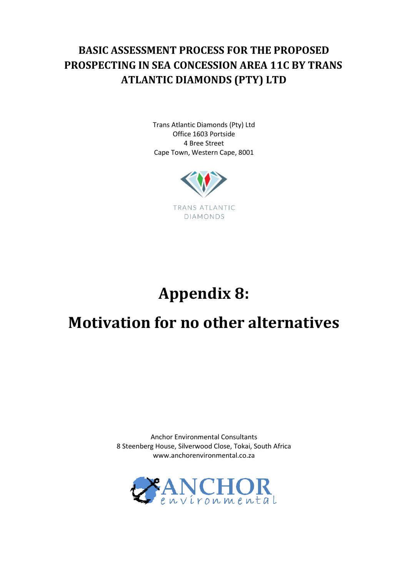## **BASIC ASSESSMENT PROCESS FOR THE PROPOSED PROSPECTING IN SEA CONCESSION AREA 11C BY TRANS ATLANTIC DIAMONDS (PTY) LTD**

Trans Atlantic Diamonds (Pty) Ltd Office 1603 Portside 4 Bree Street Cape Town, Western Cape, 8001



## **Appendix 8:**

## **Motivation for no other alternatives**

Anchor Environmental Consultants 8 Steenberg House, Silverwood Close, Tokai, South Africa www.anchorenvironmental.co.za